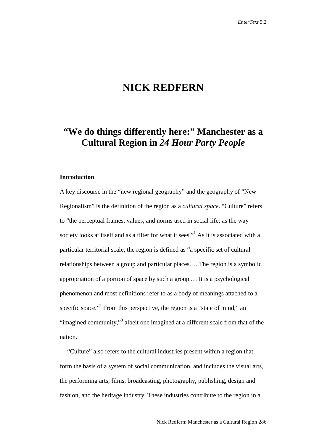# **NICK REDFERN**

## **"We do things differently here:" Manchester as a Cultural Region in** *24 Hour Party People*

## **Introduction**

A key discourse in the "new regional geography" and the geography of "New Regionalism" is the definition of the region as a *cultural space*. "Culture" refers to "the perceptual frames, values, and norms used in social life; as the way society looks at itself and as a filter for what it sees."<sup>1</sup> As it is associated with a particular territorial scale, the region is defined as "a specific set of cultural relationships between a group and particular places.… The region is a symbolic appropriation of a portion of space by such a group.… It is a psychological phenomenon and most definitions refer to as a body of meanings attached to a specific space."<sup>2</sup> From this perspective, the region is a "state of mind," an "imagined community,"3 albeit one imagined at a different scale from that of the nation.

"Culture" also refers to the cultural industries present within a region that form the basis of a system of social communication, and includes the visual arts, the performing arts, films, broadcasting, photography, publishing, design and fashion, and the heritage industry. These industries contribute to the region in a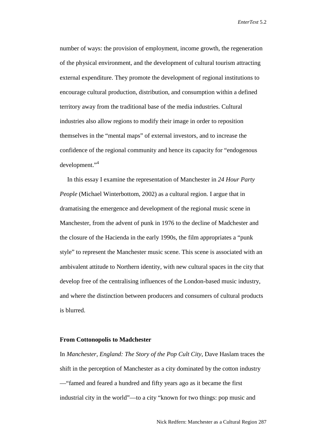number of ways: the provision of employment, income growth, the regeneration of the physical environment, and the development of cultural tourism attracting external expenditure. They promote the development of regional institutions to encourage cultural production, distribution, and consumption within a defined territory away from the traditional base of the media industries. Cultural industries also allow regions to modify their image in order to reposition themselves in the "mental maps" of external investors, and to increase the confidence of the regional community and hence its capacity for "endogenous development."4

In this essay I examine the representation of Manchester in *24 Hour Party People* (Michael Winterbottom, 2002) as a cultural region. I argue that in dramatising the emergence and development of the regional music scene in Manchester, from the advent of punk in 1976 to the decline of Madchester and the closure of the Hacienda in the early 1990s, the film appropriates a "punk style" to represent the Manchester music scene. This scene is associated with an ambivalent attitude to Northern identity, with new cultural spaces in the city that develop free of the centralising influences of the London-based music industry, and where the distinction between producers and consumers of cultural products is blurred.

### **From Cottonopolis to Madchester**

In *Manchester, England: The Story of the Pop Cult City*, Dave Haslam traces the shift in the perception of Manchester as a city dominated by the cotton industry —"famed and feared a hundred and fifty years ago as it became the first industrial city in the world"—to a city "known for two things: pop music and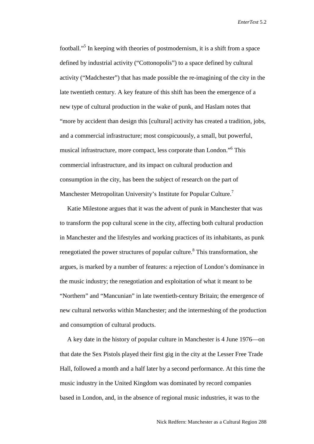football."5 In keeping with theories of postmodernism, it is a shift from a space defined by industrial activity ("Cottonopolis") to a space defined by cultural activity ("Madchester") that has made possible the re-imagining of the city in the late twentieth century. A key feature of this shift has been the emergence of a new type of cultural production in the wake of punk, and Haslam notes that "more by accident than design this [cultural] activity has created a tradition, jobs, and a commercial infrastructure; most conspicuously, a small, but powerful, musical infrastructure, more compact, less corporate than London."6 This commercial infrastructure, and its impact on cultural production and consumption in the city, has been the subject of research on the part of Manchester Metropolitan University's Institute for Popular Culture.<sup>7</sup>

Katie Milestone argues that it was the advent of punk in Manchester that was to transform the pop cultural scene in the city, affecting both cultural production in Manchester and the lifestyles and working practices of its inhabitants, as punk renegotiated the power structures of popular culture.<sup>8</sup> This transformation, she argues, is marked by a number of features: a rejection of London's dominance in the music industry; the renegotiation and exploitation of what it meant to be "Northern" and "Mancunian" in late twentieth-century Britain; the emergence of new cultural networks within Manchester; and the intermeshing of the production and consumption of cultural products.

A key date in the history of popular culture in Manchester is 4 June 1976—on that date the Sex Pistols played their first gig in the city at the Lesser Free Trade Hall, followed a month and a half later by a second performance. At this time the music industry in the United Kingdom was dominated by record companies based in London, and, in the absence of regional music industries, it was to the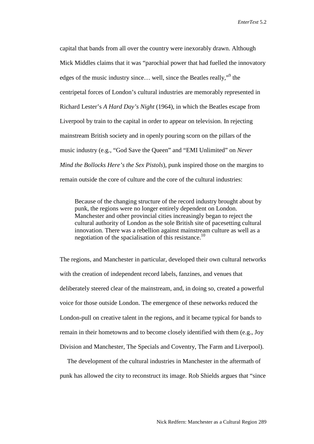capital that bands from all over the country were inexorably drawn. Although Mick Middles claims that it was "parochial power that had fuelled the innovatory edges of the music industry since... well, since the Beatles really," the centripetal forces of London's cultural industries are memorably represented in Richard Lester's *A Hard Day's Night* (1964), in which the Beatles escape from Liverpool by train to the capital in order to appear on television. In rejecting mainstream British society and in openly pouring scorn on the pillars of the music industry (e.g., "God Save the Queen" and "EMI Unlimited" on *Never Mind the Bollocks Here's the Sex Pistols*), punk inspired those on the margins to remain outside the core of culture and the core of the cultural industries:

Because of the changing structure of the record industry brought about by punk, the regions were no longer entirely dependent on London. Manchester and other provincial cities increasingly began to reject the cultural authority of London as the sole British site of pacesetting cultural innovation. There was a rebellion against mainstream culture as well as a negotiation of the spacialisation of this resistance.<sup>10</sup>

The regions, and Manchester in particular, developed their own cultural networks with the creation of independent record labels, fanzines, and venues that deliberately steered clear of the mainstream, and, in doing so, created a powerful voice for those outside London. The emergence of these networks reduced the London-pull on creative talent in the regions, and it became typical for bands to remain in their hometowns and to become closely identified with them (e.g., Joy Division and Manchester, The Specials and Coventry, The Farm and Liverpool).

The development of the cultural industries in Manchester in the aftermath of punk has allowed the city to reconstruct its image. Rob Shields argues that "since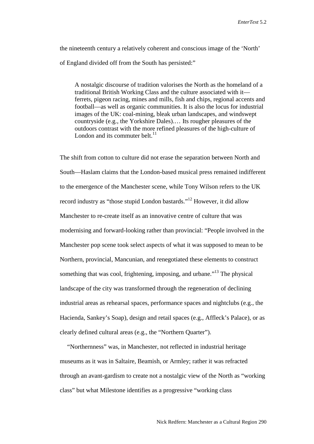the nineteenth century a relatively coherent and conscious image of the 'North' of England divided off from the South has persisted:"

A nostalgic discourse of tradition valorises the North as the homeland of a traditional British Working Class and the culture associated with it ferrets, pigeon racing, mines and mills, fish and chips, regional accents and football—as well as organic communities. It is also the locus for industrial images of the UK: coal-mining, bleak urban landscapes, and windswept countryside (e.g., the Yorkshire Dales).… Its rougher pleasures of the outdoors contrast with the more refined pleasures of the high-culture of London and its commuter belt. $^{11}$ 

The shift from cotton to culture did not erase the separation between North and South—Haslam claims that the London-based musical press remained indifferent to the emergence of the Manchester scene, while Tony Wilson refers to the UK record industry as "those stupid London bastards."<sup>12</sup> However, it did allow Manchester to re-create itself as an innovative centre of culture that was modernising and forward-looking rather than provincial: "People involved in the Manchester pop scene took select aspects of what it was supposed to mean to be Northern, provincial, Mancunian, and renegotiated these elements to construct something that was cool, frightening, imposing, and urbane.<sup>"13</sup> The physical landscape of the city was transformed through the regeneration of declining industrial areas as rehearsal spaces, performance spaces and nightclubs (e.g., the Hacienda, Sankey's Soap), design and retail spaces (e.g., Affleck's Palace), or as clearly defined cultural areas (e.g., the "Northern Quarter").

"Northernness" was, in Manchester, not reflected in industrial heritage museums as it was in Saltaire, Beamish, or Armley; rather it was refracted through an avant-gardism to create not a nostalgic view of the North as "working class" but what Milestone identifies as a progressive "working class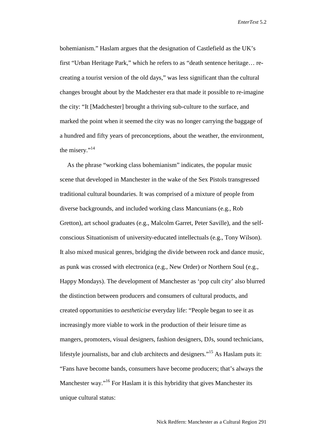bohemianism." Haslam argues that the designation of Castlefield as the UK's first "Urban Heritage Park," which he refers to as "death sentence heritage… recreating a tourist version of the old days," was less significant than the cultural changes brought about by the Madchester era that made it possible to re-imagine the city: "It [Madchester] brought a thriving sub-culture to the surface, and marked the point when it seemed the city was no longer carrying the baggage of a hundred and fifty years of preconceptions, about the weather, the environment, the misery."<sup>14</sup>

As the phrase "working class bohemianism" indicates, the popular music scene that developed in Manchester in the wake of the Sex Pistols transgressed traditional cultural boundaries. It was comprised of a mixture of people from diverse backgrounds, and included working class Mancunians (e.g., Rob Gretton), art school graduates (e.g., Malcolm Garret, Peter Saville), and the selfconscious Situationism of university-educated intellectuals (e.g., Tony Wilson). It also mixed musical genres, bridging the divide between rock and dance music, as punk was crossed with electronica (e.g., New Order) or Northern Soul (e.g., Happy Mondays). The development of Manchester as 'pop cult city' also blurred the distinction between producers and consumers of cultural products, and created opportunities to *aestheticise* everyday life: "People began to see it as increasingly more viable to work in the production of their leisure time as mangers, promoters, visual designers, fashion designers, DJs, sound technicians, lifestyle journalists, bar and club architects and designers." <sup>15</sup> As Haslam puts it: "Fans have become bands, consumers have become producers; that's always the Manchester way."<sup>16</sup> For Haslam it is this hybridity that gives Manchester its unique cultural status: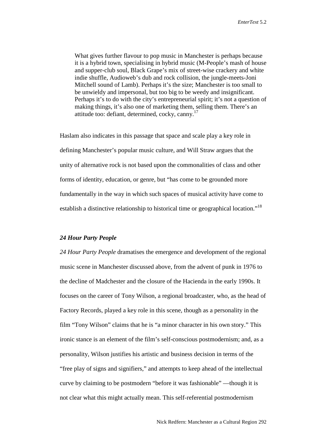What gives further flavour to pop music in Manchester is perhaps because it is a hybrid town, specialising in hybrid music (M-People's mash of house and supper-club soul, Black Grape's mix of street-wise crackery and white indie shuffle, Audioweb's dub and rock collision, the jungle-meets-Joni Mitchell sound of Lamb). Perhaps it's the size; Manchester is too small to be unwieldy and impersonal, but too big to be weedy and insignificant. Perhaps it's to do with the city's entrepreneurial spirit; it's not a question of making things, it's also one of marketing them, selling them. There's an attitude too: defiant, determined, cocky, canny.17

Haslam also indicates in this passage that space and scale play a key role in defining Manchester's popular music culture, and Will Straw argues that the unity of alternative rock is not based upon the commonalities of class and other forms of identity, education, or genre, but "has come to be grounded more fundamentally in the way in which such spaces of musical activity have come to establish a distinctive relationship to historical time or geographical location."<sup>18</sup>

## *24 Hour Party People*

*24 Hour Party People* dramatises the emergence and development of the regional music scene in Manchester discussed above, from the advent of punk in 1976 to the decline of Madchester and the closure of the Hacienda in the early 1990s. It focuses on the career of Tony Wilson, a regional broadcaster, who, as the head of Factory Records, played a key role in this scene, though as a personality in the film "Tony Wilson" claims that he is "a minor character in his own story." This ironic stance is an element of the film's self-conscious postmodernism; and, as a personality, Wilson justifies his artistic and business decision in terms of the "free play of signs and signifiers," and attempts to keep ahead of the intellectual curve by claiming to be postmodern "before it was fashionable" —though it is not clear what this might actually mean. This self-referential postmodernism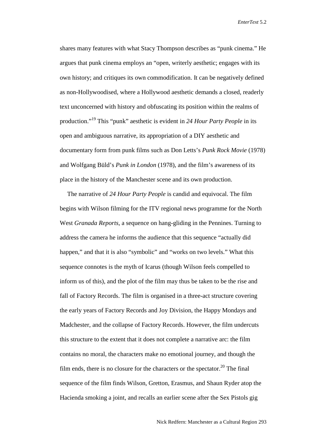shares many features with what Stacy Thompson describes as "punk cinema." He argues that punk cinema employs an "open, writerly aesthetic; engages with its own history; and critiques its own commodification. It can be negatively defined as non-Hollywoodised, where a Hollywood aesthetic demands a closed, readerly text unconcerned with history and obfuscating its position within the realms of production."19 This "punk" aesthetic is evident in *24 Hour Party People* in its open and ambiguous narrative, its appropriation of a DIY aesthetic and documentary form from punk films such as Don Letts's *Punk Rock Movie* (1978) and Wolfgang Büld's *Punk in London* (1978), and the film's awareness of its place in the history of the Manchester scene and its own production.

The narrative of *24 Hour Party People* is candid and equivocal. The film begins with Wilson filming for the ITV regional news programme for the North West *Granada Reports*, a sequence on hang-gliding in the Pennines. Turning to address the camera he informs the audience that this sequence "actually did happen," and that it is also "symbolic" and "works on two levels." What this sequence connotes is the myth of Icarus (though Wilson feels compelled to inform us of this), and the plot of the film may thus be taken to be the rise and fall of Factory Records. The film is organised in a three-act structure covering the early years of Factory Records and Joy Division, the Happy Mondays and Madchester, and the collapse of Factory Records. However, the film undercuts this structure to the extent that it does not complete a narrative arc: the film contains no moral, the characters make no emotional journey, and though the film ends, there is no closure for the characters or the spectator.<sup>20</sup> The final sequence of the film finds Wilson, Gretton, Erasmus, and Shaun Ryder atop the Hacienda smoking a joint, and recalls an earlier scene after the Sex Pistols gig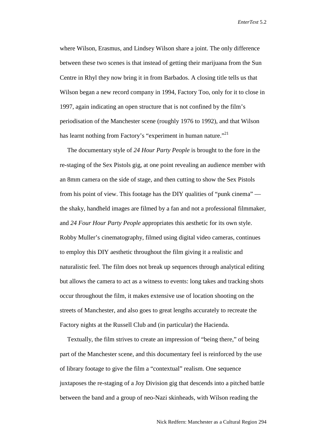where Wilson, Erasmus, and Lindsey Wilson share a joint. The only difference between these two scenes is that instead of getting their marijuana from the Sun Centre in Rhyl they now bring it in from Barbados. A closing title tells us that Wilson began a new record company in 1994, Factory Too, only for it to close in 1997, again indicating an open structure that is not confined by the film's periodisation of the Manchester scene (roughly 1976 to 1992), and that Wilson has learnt nothing from Factory's "experiment in human nature."<sup>21</sup>

The documentary style of *24 Hour Party People* is brought to the fore in the re-staging of the Sex Pistols gig, at one point revealing an audience member with an 8mm camera on the side of stage, and then cutting to show the Sex Pistols from his point of view. This footage has the DIY qualities of "punk cinema" the shaky, handheld images are filmed by a fan and not a professional filmmaker, and *24 Four Hour Party People* appropriates this aesthetic for its own style. Robby Muller's cinematography, filmed using digital video cameras, continues to employ this DIY aesthetic throughout the film giving it a realistic and naturalistic feel. The film does not break up sequences through analytical editing but allows the camera to act as a witness to events: long takes and tracking shots occur throughout the film, it makes extensive use of location shooting on the streets of Manchester, and also goes to great lengths accurately to recreate the Factory nights at the Russell Club and (in particular) the Hacienda.

Textually, the film strives to create an impression of "being there," of being part of the Manchester scene, and this documentary feel is reinforced by the use of library footage to give the film a "contextual" realism. One sequence juxtaposes the re-staging of a Joy Division gig that descends into a pitched battle between the band and a group of neo-Nazi skinheads, with Wilson reading the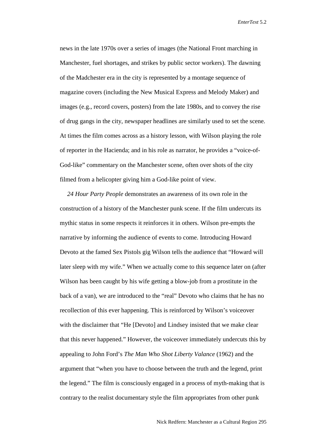news in the late 1970s over a series of images (the National Front marching in Manchester, fuel shortages, and strikes by public sector workers). The dawning of the Madchester era in the city is represented by a montage sequence of magazine covers (including the New Musical Express and Melody Maker) and images (e.g., record covers, posters) from the late 1980s, and to convey the rise of drug gangs in the city, newspaper headlines are similarly used to set the scene. At times the film comes across as a history lesson, with Wilson playing the role of reporter in the Hacienda; and in his role as narrator, he provides a "voice-of-God-like" commentary on the Manchester scene, often over shots of the city filmed from a helicopter giving him a God-like point of view.

*24 Hour Party People* demonstrates an awareness of its own role in the construction of a history of the Manchester punk scene. If the film undercuts its mythic status in some respects it reinforces it in others. Wilson pre-empts the narrative by informing the audience of events to come. Introducing Howard Devoto at the famed Sex Pistols gig Wilson tells the audience that "Howard will later sleep with my wife." When we actually come to this sequence later on (after Wilson has been caught by his wife getting a blow-job from a prostitute in the back of a van), we are introduced to the "real" Devoto who claims that he has no recollection of this ever happening. This is reinforced by Wilson's voiceover with the disclaimer that "He [Devoto] and Lindsey insisted that we make clear that this never happened." However, the voiceover immediately undercuts this by appealing to John Ford's *The Man Who Shot Liberty Valance* (1962) and the argument that "when you have to choose between the truth and the legend, print the legend." The film is consciously engaged in a process of myth-making that is contrary to the realist documentary style the film appropriates from other punk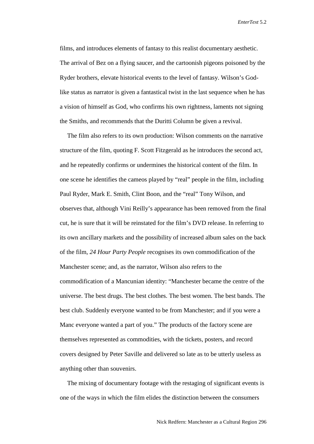films, and introduces elements of fantasy to this realist documentary aesthetic. The arrival of Bez on a flying saucer, and the cartoonish pigeons poisoned by the Ryder brothers, elevate historical events to the level of fantasy. Wilson's Godlike status as narrator is given a fantastical twist in the last sequence when he has a vision of himself as God, who confirms his own rightness, laments not signing the Smiths, and recommends that the Duritti Column be given a revival.

The film also refers to its own production: Wilson comments on the narrative structure of the film, quoting F. Scott Fitzgerald as he introduces the second act, and he repeatedly confirms or undermines the historical content of the film. In one scene he identifies the cameos played by "real" people in the film, including Paul Ryder, Mark E. Smith, Clint Boon, and the "real" Tony Wilson, and observes that, although Vini Reilly's appearance has been removed from the final cut, he is sure that it will be reinstated for the film's DVD release. In referring to its own ancillary markets and the possibility of increased album sales on the back of the film, *24 Hour Party People* recognises its own commodification of the Manchester scene; and, as the narrator, Wilson also refers to the commodification of a Mancunian identity: "Manchester became the centre of the universe. The best drugs. The best clothes. The best women. The best bands. The best club. Suddenly everyone wanted to be from Manchester; and if you were a Manc everyone wanted a part of you." The products of the factory scene are themselves represented as commodities, with the tickets, posters, and record covers designed by Peter Saville and delivered so late as to be utterly useless as anything other than souvenirs.

The mixing of documentary footage with the restaging of significant events is one of the ways in which the film elides the distinction between the consumers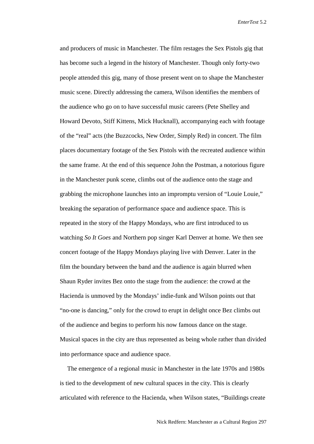and producers of music in Manchester. The film restages the Sex Pistols gig that has become such a legend in the history of Manchester. Though only forty-two people attended this gig, many of those present went on to shape the Manchester music scene. Directly addressing the camera, Wilson identifies the members of the audience who go on to have successful music careers (Pete Shelley and Howard Devoto, Stiff Kittens, Mick Hucknall), accompanying each with footage of the "real" acts (the Buzzcocks, New Order, Simply Red) in concert. The film places documentary footage of the Sex Pistols with the recreated audience within the same frame. At the end of this sequence John the Postman, a notorious figure in the Manchester punk scene, climbs out of the audience onto the stage and grabbing the microphone launches into an impromptu version of "Louie Louie," breaking the separation of performance space and audience space. This is repeated in the story of the Happy Mondays, who are first introduced to us watching *So It Goes* and Northern pop singer Karl Denver at home. We then see concert footage of the Happy Mondays playing live with Denver. Later in the film the boundary between the band and the audience is again blurred when Shaun Ryder invites Bez onto the stage from the audience: the crowd at the Hacienda is unmoved by the Mondays' indie-funk and Wilson points out that "no-one is dancing," only for the crowd to erupt in delight once Bez climbs out of the audience and begins to perform his now famous dance on the stage. Musical spaces in the city are thus represented as being whole rather than divided into performance space and audience space.

The emergence of a regional music in Manchester in the late 1970s and 1980s is tied to the development of new cultural spaces in the city. This is clearly articulated with reference to the Hacienda, when Wilson states, "Buildings create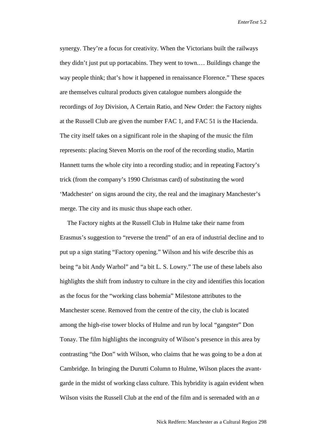synergy. They're a focus for creativity. When the Victorians built the railways they didn't just put up portacabins. They went to town.… Buildings change the way people think; that's how it happened in renaissance Florence." These spaces are themselves cultural products given catalogue numbers alongside the recordings of Joy Division, A Certain Ratio, and New Order: the Factory nights at the Russell Club are given the number FAC 1, and FAC 51 is the Hacienda. The city itself takes on a significant role in the shaping of the music the film represents: placing Steven Morris on the roof of the recording studio, Martin Hannett turns the whole city into a recording studio; and in repeating Factory's trick (from the company's 1990 Christmas card) of substituting the word 'Madchester' on signs around the city, the real and the imaginary Manchester's merge. The city and its music thus shape each other.

The Factory nights at the Russell Club in Hulme take their name from Erasmus's suggestion to "reverse the trend" of an era of industrial decline and to put up a sign stating "Factory opening." Wilson and his wife describe this as being "a bit Andy Warhol" and "a bit L. S. Lowry." The use of these labels also highlights the shift from industry to culture in the city and identifies this location as the focus for the "working class bohemia" Milestone attributes to the Manchester scene. Removed from the centre of the city, the club is located among the high-rise tower blocks of Hulme and run by local "gangster" Don Tonay. The film highlights the incongruity of Wilson's presence in this area by contrasting "the Don" with Wilson, who claims that he was going to be a don at Cambridge. In bringing the Durutti Column to Hulme, Wilson places the avantgarde in the midst of working class culture. This hybridity is again evident when Wilson visits the Russell Club at the end of the film and is serenaded with an *a*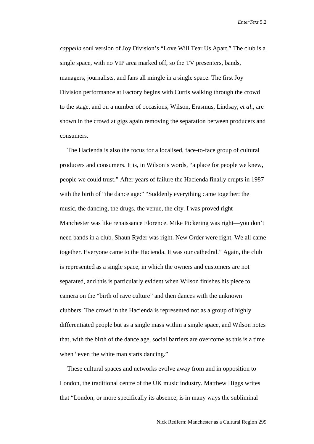*cappella* soul version of Joy Division's "Love Will Tear Us Apart." The club is a single space, with no VIP area marked off, so the TV presenters, bands, managers, journalists, and fans all mingle in a single space. The first Joy Division performance at Factory begins with Curtis walking through the crowd to the stage, and on a number of occasions, Wilson, Erasmus, Lindsay, *et al*., are shown in the crowd at gigs again removing the separation between producers and consumers.

The Hacienda is also the focus for a localised, face-to-face group of cultural producers and consumers. It is, in Wilson's words, "a place for people we knew, people we could trust." After years of failure the Hacienda finally erupts in 1987 with the birth of "the dance age:" "Suddenly everything came together: the music, the dancing, the drugs, the venue, the city. I was proved right— Manchester was like renaissance Florence. Mike Pickering was right—you don't need bands in a club. Shaun Ryder was right. New Order were right. We all came together. Everyone came to the Hacienda. It was our cathedral." Again, the club is represented as a single space, in which the owners and customers are not separated, and this is particularly evident when Wilson finishes his piece to camera on the "birth of rave culture" and then dances with the unknown clubbers. The crowd in the Hacienda is represented not as a group of highly differentiated people but as a single mass within a single space, and Wilson notes that, with the birth of the dance age, social barriers are overcome as this is a time when "even the white man starts dancing."

These cultural spaces and networks evolve away from and in opposition to London, the traditional centre of the UK music industry. Matthew Higgs writes that "London, or more specifically its absence, is in many ways the subliminal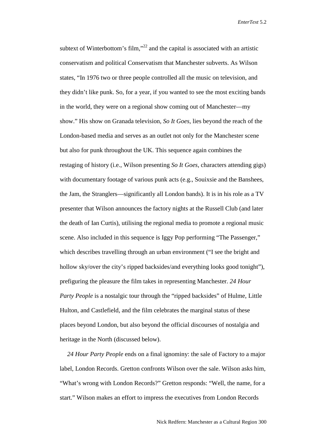subtext of Winterbottom's film, $n^{22}$  and the capital is associated with an artistic conservatism and political Conservatism that Manchester subverts. As Wilson states, "In 1976 two or three people controlled all the music on television, and they didn't like punk. So, for a year, if you wanted to see the most exciting bands in the world, they were on a regional show coming out of Manchester—my show." His show on Granada television, *So It Goes*, lies beyond the reach of the London-based media and serves as an outlet not only for the Manchester scene but also for punk throughout the UK. This sequence again combines the restaging of history (i.e., Wilson presenting *So It Goes*, characters attending gigs) with documentary footage of various punk acts (e.g., Souixsie and the Banshees, the Jam, the Stranglers—significantly all London bands). It is in his role as a TV presenter that Wilson announces the factory nights at the Russell Club (and later the death of Ian Curtis), utilising the regional media to promote a regional music scene. Also included in this sequence is Iggy Pop performing "The Passenger," which describes travelling through an urban environment ("I see the bright and hollow sky/over the city's ripped backsides/and everything looks good tonight"), prefiguring the pleasure the film takes in representing Manchester. *24 Hour Party People* is a nostalgic tour through the "ripped backsides" of Hulme, Little Hulton, and Castlefield, and the film celebrates the marginal status of these places beyond London, but also beyond the official discourses of nostalgia and heritage in the North (discussed below).

*24 Hour Party People* ends on a final ignominy: the sale of Factory to a major label, London Records. Gretton confronts Wilson over the sale. Wilson asks him, "What's wrong with London Records?" Gretton responds: "Well, the name, for a start." Wilson makes an effort to impress the executives from London Records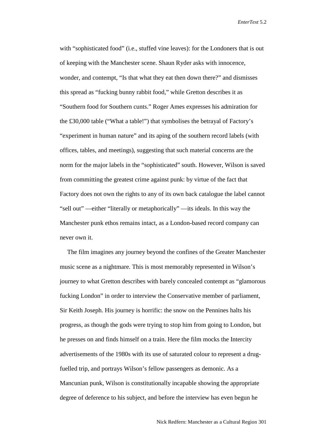with "sophisticated food" (i.e., stuffed vine leaves): for the Londoners that is out of keeping with the Manchester scene. Shaun Ryder asks with innocence, wonder, and contempt, "Is that what they eat then down there?" and dismisses this spread as "fucking bunny rabbit food," while Gretton describes it as "Southern food for Southern cunts." Roger Ames expresses his admiration for the £30,000 table ("What a table!") that symbolises the betrayal of Factory's "experiment in human nature" and its aping of the southern record labels (with offices, tables, and meetings), suggesting that such material concerns are the norm for the major labels in the "sophisticated" south. However, Wilson is saved from committing the greatest crime against punk: by virtue of the fact that Factory does not own the rights to any of its own back catalogue the label cannot "sell out" —either "literally or metaphorically" —its ideals. In this way the Manchester punk ethos remains intact, as a London-based record company can never own it.

The film imagines any journey beyond the confines of the Greater Manchester music scene as a nightmare. This is most memorably represented in Wilson's journey to what Gretton describes with barely concealed contempt as "glamorous fucking London" in order to interview the Conservative member of parliament, Sir Keith Joseph. His journey is horrific: the snow on the Pennines halts his progress, as though the gods were trying to stop him from going to London, but he presses on and finds himself on a train. Here the film mocks the Intercity advertisements of the 1980s with its use of saturated colour to represent a drugfuelled trip, and portrays Wilson's fellow passengers as demonic. As a Mancunian punk, Wilson is constitutionally incapable showing the appropriate degree of deference to his subject, and before the interview has even begun he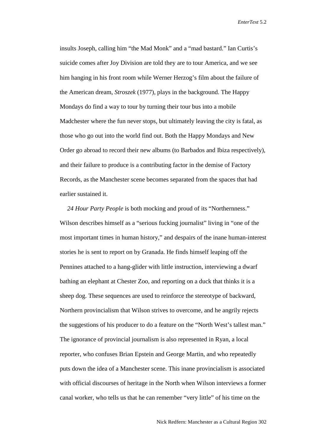insults Joseph, calling him "the Mad Monk" and a "mad bastard." Ian Curtis's suicide comes after Joy Division are told they are to tour America, and we see him hanging in his front room while Werner Herzog's film about the failure of the American dream, *Stroszek* (1977), plays in the background. The Happy Mondays do find a way to tour by turning their tour bus into a mobile Madchester where the fun never stops, but ultimately leaving the city is fatal, as those who go out into the world find out. Both the Happy Mondays and New Order go abroad to record their new albums (to Barbados and Ibiza respectively), and their failure to produce is a contributing factor in the demise of Factory Records, as the Manchester scene becomes separated from the spaces that had earlier sustained it.

*24 Hour Party People* is both mocking and proud of its "Northernness." Wilson describes himself as a "serious fucking journalist" living in "one of the most important times in human history," and despairs of the inane human-interest stories he is sent to report on by Granada. He finds himself leaping off the Pennines attached to a hang-glider with little instruction, interviewing a dwarf bathing an elephant at Chester Zoo, and reporting on a duck that thinks it is a sheep dog. These sequences are used to reinforce the stereotype of backward, Northern provincialism that Wilson strives to overcome, and he angrily rejects the suggestions of his producer to do a feature on the "North West's tallest man." The ignorance of provincial journalism is also represented in Ryan, a local reporter, who confuses Brian Epstein and George Martin, and who repeatedly puts down the idea of a Manchester scene. This inane provincialism is associated with official discourses of heritage in the North when Wilson interviews a former canal worker, who tells us that he can remember "very little" of his time on the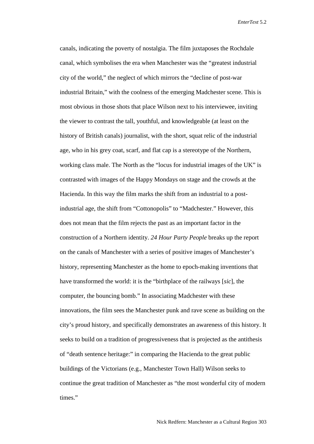canals, indicating the poverty of nostalgia. The film juxtaposes the Rochdale canal, which symbolises the era when Manchester was the "greatest industrial city of the world," the neglect of which mirrors the "decline of post-war industrial Britain," with the coolness of the emerging Madchester scene. This is most obvious in those shots that place Wilson next to his interviewee, inviting the viewer to contrast the tall, youthful, and knowledgeable (at least on the history of British canals) journalist, with the short, squat relic of the industrial age, who in his grey coat, scarf, and flat cap is a stereotype of the Northern, working class male. The North as the "locus for industrial images of the UK" is contrasted with images of the Happy Mondays on stage and the crowds at the Hacienda. In this way the film marks the shift from an industrial to a postindustrial age, the shift from "Cottonopolis" to "Madchester." However, this does not mean that the film rejects the past as an important factor in the construction of a Northern identity. *24 Hour Party People* breaks up the report on the canals of Manchester with a series of positive images of Manchester's history, representing Manchester as the home to epoch-making inventions that have transformed the world: it is the "birthplace of the railways [*sic*], the computer, the bouncing bomb." In associating Madchester with these innovations, the film sees the Manchester punk and rave scene as building on the city's proud history, and specifically demonstrates an awareness of this history. It seeks to build on a tradition of progressiveness that is projected as the antithesis of "death sentence heritage:" in comparing the Hacienda to the great public buildings of the Victorians (e.g., Manchester Town Hall) Wilson seeks to continue the great tradition of Manchester as "the most wonderful city of modern times."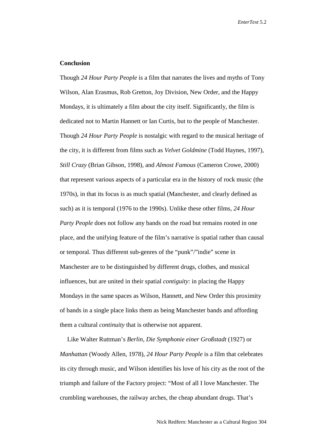## **Conclusion**

Though *24 Hour Party People* is a film that narrates the lives and myths of Tony Wilson, Alan Erasmus, Rob Gretton, Joy Division, New Order, and the Happy Mondays, it is ultimately a film about the city itself. Significantly, the film is dedicated not to Martin Hannett or Ian Curtis, but to the people of Manchester. Though *24 Hour Party People* is nostalgic with regard to the musical heritage of the city, it is different from films such as *Velvet Goldmine* (Todd Haynes, 1997), *Still Crazy* (Brian Gibson, 1998), and *Almost Famous* (Cameron Crowe, 2000) that represent various aspects of a particular era in the history of rock music (the 1970s), in that its focus is as much spatial (Manchester, and clearly defined as such) as it is temporal (1976 to the 1990s). Unlike these other films, *24 Hour Party People* does not follow any bands on the road but remains rooted in one place, and the unifying feature of the film's narrative is spatial rather than causal or temporal. Thus different sub-genres of the "punk"/"indie" scene in Manchester are to be distinguished by different drugs, clothes, and musical influences, but are united in their spatial *contiguity*: in placing the Happy Mondays in the same spaces as Wilson, Hannett, and New Order this proximity of bands in a single place links them as being Manchester bands and affording them a cultural *continuity* that is otherwise not apparent.

Like Walter Ruttman's *Berlin, Die Symphonie einer Großstadt* (1927) or *Manhattan* (Woody Allen, 1978), *24 Hour Party People* is a film that celebrates its city through music, and Wilson identifies his love of his city as the root of the triumph and failure of the Factory project: "Most of all I love Manchester. The crumbling warehouses, the railway arches, the cheap abundant drugs. That's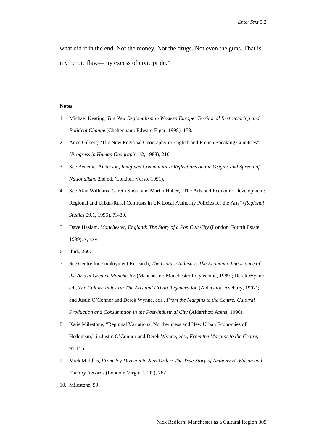what did it in the end. Not the money. Not the drugs. Not even the guns. That is my heroic flaw—my excess of civic pride."

#### **Notes**

- 1. Michael Keating, *The New Regionalism in Western Europe: Territorial Restructuring and Political Change* (Cheltenham: Edward Elgar, 1998), 153.
- 2. Anne Gilbert, "The New Regional Geography in English and French Speaking Countries" (*Progress in Human Geography* 12, 1988), 210.
- 3. See Benedict Anderson, *Imagined Communities: Reflections on the Origins and Spread of Nationalism*, 2nd ed. (London: Verso, 1991).
- 4. See Alan Williams, Gareth Shore and Martin Huber, "The Arts and Economic Development: Regional and Urban-Rural Contrasts in UK Local Authority Policies for the Arts" (*Regional Studies* 29.1, 1995), 73-80.
- 5. Dave Haslam, *Manchester, England: The Story of a Pop Cult City* (London: Fourth Estate, 1999), x, xxv.
- 6. Ibid., 260.
- 7. See Centre for Employment Research, *The Culture Industry: The Economic Importance of the Arts in Greater Manchester* (Manchester: Manchester Polytechnic, 1989); Derek Wynne ed., *The Culture Industry: The Arts and Urban Regeneration* (Aldershot: Avebury, 1992); and Justin O'Connor and Derek Wynne, eds., *From the Margins to the Centre: Cultural Production and Consumption in the Post-industrial City* (Aldershot: Arena, 1996).
- 8. Katie Milestone, "Regional Variations: Northernness and New Urban Economies of Hedonism," in Justin O'Connor and Derek Wynne, eds., *From the Margins to the Centre*, 91-115.
- 9. Mick Middles, *From Joy Division to New Order: The True Story of Anthony H. Wilson and Factory Records* (London: Virgin, 2002), 262.
- 10. Milestone, 99.